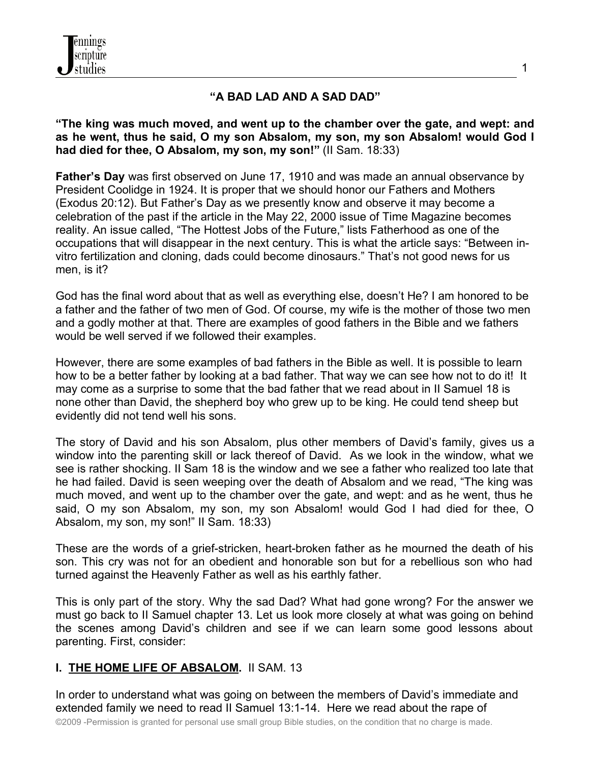

### **"A BAD LAD AND A SAD DAD"**

**"The king was much moved, and went up to the chamber over the gate, and wept: and as he went, thus he said, O my son Absalom, my son, my son Absalom! would God I had died for thee, O Absalom, my son, my son!"** (II Sam. 18:33)

**Father's Day** was first observed on June 17, 1910 and was made an annual observance by President Coolidge in 1924. It is proper that we should honor our Fathers and Mothers (Exodus 20:12). But Father's Day as we presently know and observe it may become a celebration of the past if the article in the May 22, 2000 issue of Time Magazine becomes reality. An issue called, "The Hottest Jobs of the Future," lists Fatherhood as one of the occupations that will disappear in the next century. This is what the article says: "Between invitro fertilization and cloning, dads could become dinosaurs." That's not good news for us men, is it?

God has the final word about that as well as everything else, doesn't He? I am honored to be a father and the father of two men of God. Of course, my wife is the mother of those two men and a godly mother at that. There are examples of good fathers in the Bible and we fathers would be well served if we followed their examples.

However, there are some examples of bad fathers in the Bible as well. It is possible to learn how to be a better father by looking at a bad father. That way we can see how not to do it! It may come as a surprise to some that the bad father that we read about in II Samuel 18 is none other than David, the shepherd boy who grew up to be king. He could tend sheep but evidently did not tend well his sons.

The story of David and his son Absalom, plus other members of David's family, gives us a window into the parenting skill or lack thereof of David. As we look in the window, what we see is rather shocking. II Sam 18 is the window and we see a father who realized too late that he had failed. David is seen weeping over the death of Absalom and we read, "The king was much moved, and went up to the chamber over the gate, and wept: and as he went, thus he said, O my son Absalom, my son, my son Absalom! would God I had died for thee, O Absalom, my son, my son!" II Sam. 18:33)

These are the words of a grief-stricken, heart-broken father as he mourned the death of his son. This cry was not for an obedient and honorable son but for a rebellious son who had turned against the Heavenly Father as well as his earthly father.

This is only part of the story. Why the sad Dad? What had gone wrong? For the answer we must go back to II Samuel chapter 13. Let us look more closely at what was going on behind the scenes among David's children and see if we can learn some good lessons about parenting. First, consider:

#### **I. THE HOME LIFE OF ABSALOM.** II SAM. 13

In order to understand what was going on between the members of David's immediate and extended family we need to read II Samuel 13:1-14. Here we read about the rape of

©2009 -Permission is granted for personal use small group Bible studies, on the condition that no charge is made.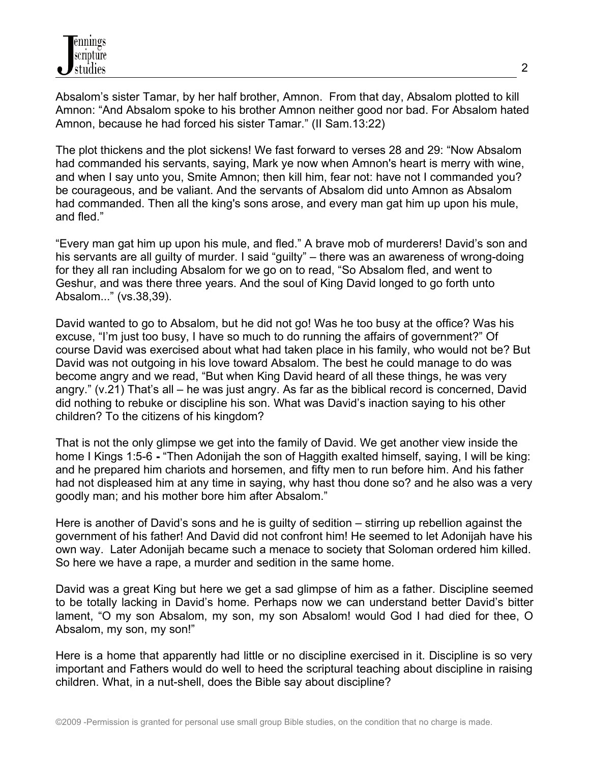Absalom's sister Tamar, by her half brother, Amnon. From that day, Absalom plotted to kill Amnon: "And Absalom spoke to his brother Amnon neither good nor bad. For Absalom hated Amnon, because he had forced his sister Tamar." (II Sam.13:22)

The plot thickens and the plot sickens! We fast forward to verses 28 and 29: "Now Absalom had commanded his servants, saying, Mark ye now when Amnon's heart is merry with wine, and when I say unto you, Smite Amnon; then kill him, fear not: have not I commanded you? be courageous, and be valiant. And the servants of Absalom did unto Amnon as Absalom had commanded. Then all the king's sons arose, and every man gat him up upon his mule, and fled."

"Every man gat him up upon his mule, and fled." A brave mob of murderers! David's son and his servants are all guilty of murder. I said "guilty" – there was an awareness of wrong-doing for they all ran including Absalom for we go on to read, "So Absalom fled, and went to Geshur, and was there three years. And the soul of King David longed to go forth unto Absalom..." (vs.38,39).

David wanted to go to Absalom, but he did not go! Was he too busy at the office? Was his excuse, "I'm just too busy, I have so much to do running the affairs of government?" Of course David was exercised about what had taken place in his family, who would not be? But David was not outgoing in his love toward Absalom. The best he could manage to do was become angry and we read, "But when King David heard of all these things, he was very angry." (v.21) That's all – he was just angry. As far as the biblical record is concerned, David did nothing to rebuke or discipline his son. What was David's inaction saying to his other children? To the citizens of his kingdom?

That is not the only glimpse we get into the family of David. We get another view inside the home I Kings 1:5-6 **-** "Then Adonijah the son of Haggith exalted himself, saying, I will be king: and he prepared him chariots and horsemen, and fifty men to run before him. And his father had not displeased him at any time in saying, why hast thou done so? and he also was a very goodly man; and his mother bore him after Absalom."

Here is another of David's sons and he is guilty of sedition – stirring up rebellion against the government of his father! And David did not confront him! He seemed to let Adonijah have his own way. Later Adonijah became such a menace to society that Soloman ordered him killed. So here we have a rape, a murder and sedition in the same home.

David was a great King but here we get a sad glimpse of him as a father. Discipline seemed to be totally lacking in David's home. Perhaps now we can understand better David's bitter lament, "O my son Absalom, my son, my son Absalom! would God I had died for thee, O Absalom, my son, my son!"

Here is a home that apparently had little or no discipline exercised in it. Discipline is so very important and Fathers would do well to heed the scriptural teaching about discipline in raising children. What, in a nut-shell, does the Bible say about discipline?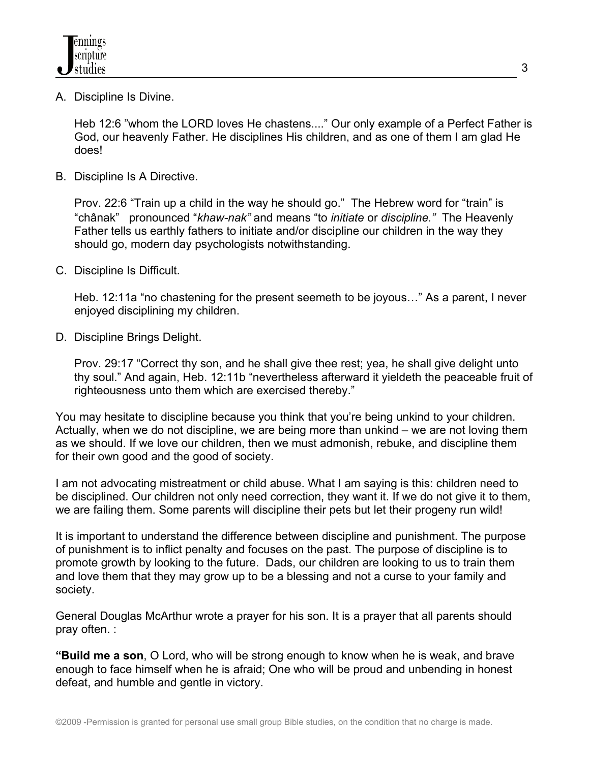A. Discipline Is Divine.

 Heb 12:6 "whom the LORD loves He chastens...." Our only example of a Perfect Father is God, our heavenly Father. He disciplines His children, and as one of them I am glad He does!

B. Discipline Is A Directive.

Prov. 22:6 "Train up a child in the way he should go." The Hebrew word for "train" is "châ nak" pronounced "*khaw-nak"* and means "to *initiate* or *discipline."* The Heavenly Father tells us earthly fathers to initiate and/or discipline our children in the way they should go, modern day psychologists notwithstanding.

C. Discipline Is Difficult.

Heb. 12:11a "no chastening for the present seemeth to be joyous…" As a parent, I never enjoyed disciplining my children.

D. Discipline Brings Delight.

Prov. 29:17 "Correct thy son, and he shall give thee rest; yea, he shall give delight unto thy soul." And again, Heb. 12:11b "nevertheless afterward it yieldeth the peaceable fruit of righteousness unto them which are exercised thereby."

You may hesitate to discipline because you think that you're being unkind to your children. Actually, when we do not discipline, we are being more than unkind – we are not loving them as we should. If we love our children, then we must admonish, rebuke, and discipline them for their own good and the good of society.

I am not advocating mistreatment or child abuse. What I am saying is this: children need to be disciplined. Our children not only need correction, they want it. If we do not give it to them, we are failing them. Some parents will discipline their pets but let their progeny run wild!

It is important to understand the difference between discipline and punishment. The purpose of punishment is to inflict penalty and focuses on the past. The purpose of discipline is to promote growth by looking to the future. Dads, our children are looking to us to train them and love them that they may grow up to be a blessing and not a curse to your family and society.

General Douglas McArthur wrote a prayer for his son. It is a prayer that all parents should pray often. :

**"Build me a son**, O Lord, who will be strong enough to know when he is weak, and brave enough to face himself when he is afraid; One who will be proud and unbending in honest defeat, and humble and gentle in victory.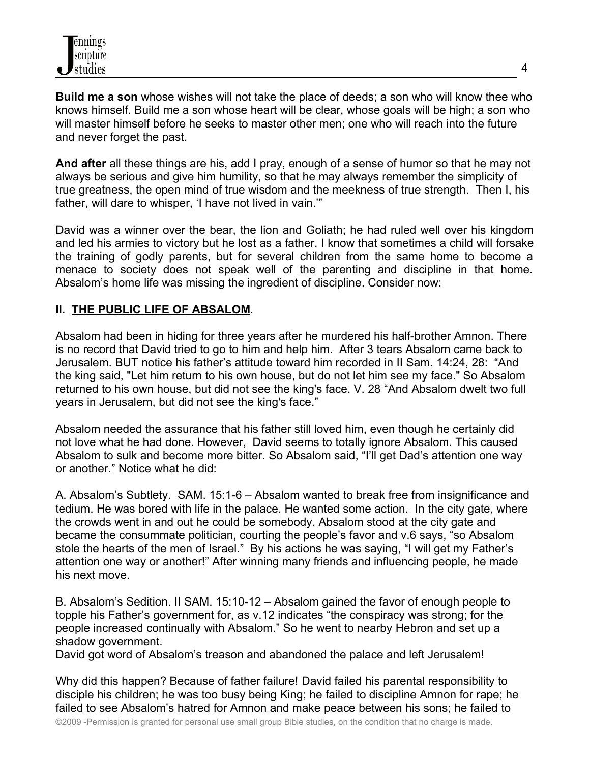**Build me a son** whose wishes will not take the place of deeds; a son who will know thee who knows himself. Build me a son whose heart will be clear, whose goals will be high; a son who will master himself before he seeks to master other men; one who will reach into the future and never forget the past.

**And after** all these things are his, add I pray, enough of a sense of humor so that he may not always be serious and give him humility, so that he may always remember the simplicity of true greatness, the open mind of true wisdom and the meekness of true strength. Then I, his father, will dare to whisper, 'I have not lived in vain.'"

David was a winner over the bear, the lion and Goliath; he had ruled well over his kingdom and led his armies to victory but he lost as a father. I know that sometimes a child will forsake the training of godly parents, but for several children from the same home to become a menace to society does not speak well of the parenting and discipline in that home. Absalom's home life was missing the ingredient of discipline. Consider now:

### **II. THE PUBLIC LIFE OF ABSALOM**.

Absalom had been in hiding for three years after he murdered his half-brother Amnon. There is no record that David tried to go to him and help him. After 3 tears Absalom came back to Jerusalem. BUT notice his father's attitude toward him recorded in II Sam. 14:24, 28: "And the king said, "Let him return to his own house, but do not let him see my face." So Absalom returned to his own house, but did not see the king's face. V. 28 "And Absalom dwelt two full years in Jerusalem, but did not see the king's face."

Absalom needed the assurance that his father still loved him, even though he certainly did not love what he had done. However, David seems to totally ignore Absalom. This caused Absalom to sulk and become more bitter. So Absalom said, "I'll get Dad's attention one way or another." Notice what he did:

A. Absalom's Subtlety. SAM. 15:1-6 – Absalom wanted to break free from insignificance and tedium. He was bored with life in the palace. He wanted some action. In the city gate, where the crowds went in and out he could be somebody. Absalom stood at the city gate and became the consummate politician, courting the people's favor and v.6 says, "so Absalom stole the hearts of the men of Israel." By his actions he was saying, "I will get my Father's attention one way or another!" After winning many friends and influencing people, he made his next move.

B. Absalom's Sedition. II SAM. 15:10-12 – Absalom gained the favor of enough people to topple his Father's government for, as v.12 indicates "the conspiracy was strong; for the people increased continually with Absalom." So he went to nearby Hebron and set up a shadow government.

David got word of Absalom's treason and abandoned the palace and left Jerusalem!

Why did this happen? Because of father failure! David failed his parental responsibility to disciple his children; he was too busy being King; he failed to discipline Amnon for rape; he failed to see Absalom's hatred for Amnon and make peace between his sons; he failed to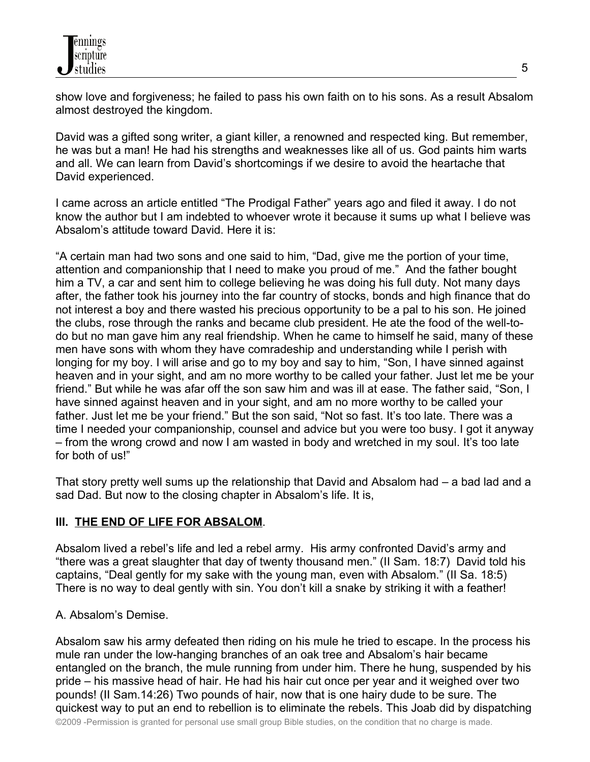show love and forgiveness; he failed to pass his own faith on to his sons. As a result Absalom almost destroyed the kingdom.

David was a gifted song writer, a giant killer, a renowned and respected king. But remember, he was but a man! He had his strengths and weaknesses like all of us. God paints him warts and all. We can learn from David's shortcomings if we desire to avoid the heartache that David experienced.

I came across an article entitled "The Prodigal Father" years ago and filed it away. I do not know the author but I am indebted to whoever wrote it because it sums up what I believe was Absalom's attitude toward David. Here it is:

"A certain man had two sons and one said to him, "Dad, give me the portion of your time, attention and companionship that I need to make you proud of me." And the father bought him a TV, a car and sent him to college believing he was doing his full duty. Not many days after, the father took his journey into the far country of stocks, bonds and high finance that do not interest a boy and there wasted his precious opportunity to be a pal to his son. He joined the clubs, rose through the ranks and became club president. He ate the food of the well-todo but no man gave him any real friendship. When he came to himself he said, many of these men have sons with whom they have comradeship and understanding while I perish with longing for my boy. I will arise and go to my boy and say to him, "Son, I have sinned against heaven and in your sight, and am no more worthy to be called your father. Just let me be your friend." But while he was afar off the son saw him and was ill at ease. The father said, "Son, I have sinned against heaven and in your sight, and am no more worthy to be called your father. Just let me be your friend." But the son said, "Not so fast. It's too late. There was a time I needed your companionship, counsel and advice but you were too busy. I got it anyway – from the wrong crowd and now I am wasted in body and wretched in my soul. It's too late for both of us!"

That story pretty well sums up the relationship that David and Absalom had – a bad lad and a sad Dad. But now to the closing chapter in Absalom's life. It is,

# **III. THE END OF LIFE FOR ABSALOM**.

Absalom lived a rebel's life and led a rebel army. His army confronted David's army and "there was a great slaughter that day of twenty thousand men." (II Sam. 18:7) David told his captains, "Deal gently for my sake with the young man, even with Absalom." (II Sa. 18:5) There is no way to deal gently with sin. You don't kill a snake by striking it with a feather!

### A. Absalom's Demise.

Absalom saw his army defeated then riding on his mule he tried to escape. In the process his mule ran under the low-hanging branches of an oak tree and Absalom's hair became entangled on the branch, the mule running from under him. There he hung, suspended by his pride – his massive head of hair. He had his hair cut once per year and it weighed over two pounds! (II Sam.14:26) Two pounds of hair, now that is one hairy dude to be sure. The quickest way to put an end to rebellion is to eliminate the rebels. This Joab did by dispatching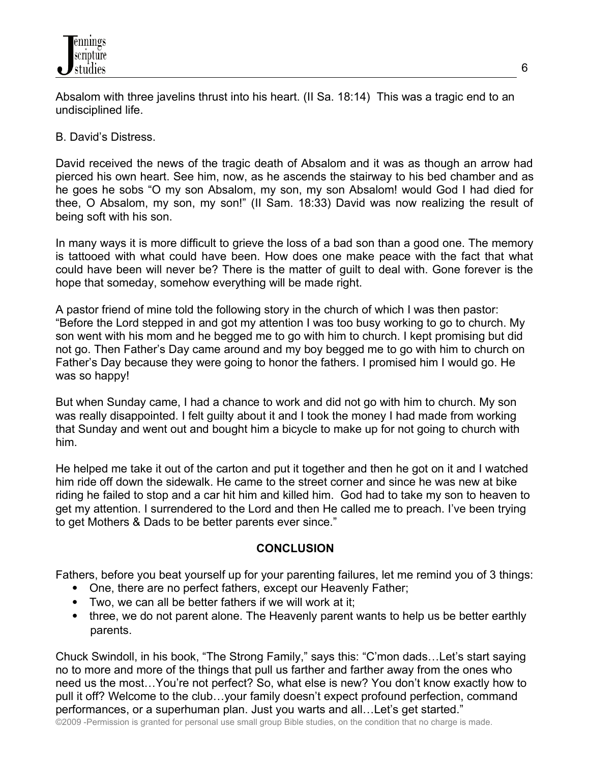Absalom with three javelins thrust into his heart. (II Sa. 18:14) This was a tragic end to an undisciplined life.

## B. David's Distress.

David received the news of the tragic death of Absalom and it was as though an arrow had pierced his own heart. See him, now, as he ascends the stairway to his bed chamber and as he goes he sobs "O my son Absalom, my son, my son Absalom! would God I had died for thee, O Absalom, my son, my son!" (II Sam. 18:33) David was now realizing the result of being soft with his son.

In many ways it is more difficult to grieve the loss of a bad son than a good one. The memory is tattooed with what could have been. How does one make peace with the fact that what could have been will never be? There is the matter of guilt to deal with. Gone forever is the hope that someday, somehow everything will be made right.

A pastor friend of mine told the following story in the church of which I was then pastor: "Before the Lord stepped in and got my attention I was too busy working to go to church. My son went with his mom and he begged me to go with him to church. I kept promising but did not go. Then Father's Day came around and my boy begged me to go with him to church on Father's Day because they were going to honor the fathers. I promised him I would go. He was so happy!

But when Sunday came, I had a chance to work and did not go with him to church. My son was really disappointed. I felt guilty about it and I took the money I had made from working that Sunday and went out and bought him a bicycle to make up for not going to church with him.

He helped me take it out of the carton and put it together and then he got on it and I watched him ride off down the sidewalk. He came to the street corner and since he was new at bike riding he failed to stop and a car hit him and killed him. God had to take my son to heaven to get my attention. I surrendered to the Lord and then He called me to preach. I've been trying to get Mothers & Dads to be better parents ever since."

### **CONCLUSION**

Fathers, before you beat yourself up for your parenting failures, let me remind you of 3 things:

- One, there are no perfect fathers, except our Heavenly Father;
- Two, we can all be better fathers if we will work at it;
- three, we do not parent alone. The Heavenly parent wants to help us be better earthly parents.

Chuck Swindoll, in his book, "The Strong Family," says this: "C'mon dads…Let's start saying no to more and more of the things that pull us farther and farther away from the ones who need us the most…You're not perfect? So, what else is new? You don't know exactly how to pull it off? Welcome to the club…your family doesn't expect profound perfection, command performances, or a superhuman plan. Just you warts and all…Let's get started."

©2009 -Permission is granted for personal use small group Bible studies, on the condition that no charge is made.